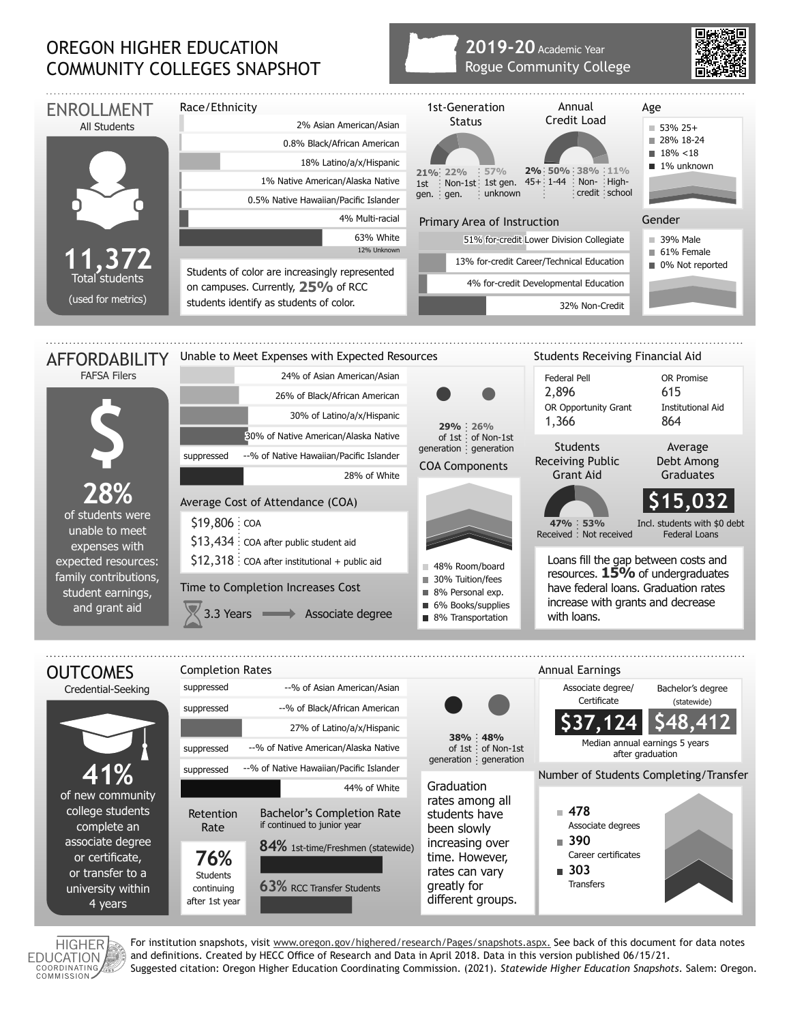## OREGON HIGHER EDUCATION COMMUNITY COLLEGES SNAPSHOT

## **2019-20** Academic Year Rogue Community College





For institution snapshots, visit www.oregon.gov/highered/research/Pages/snapshots.aspx. See back of this document for data notes and definitions. Created by HECC Office of Research and Data in April 2018. Data in this version published 06/15/21. Suggested citation: Oregon Higher Education Coordinating Commission. (2021). *Statewide Higher Education Snapshots*. Salem: Oregon.